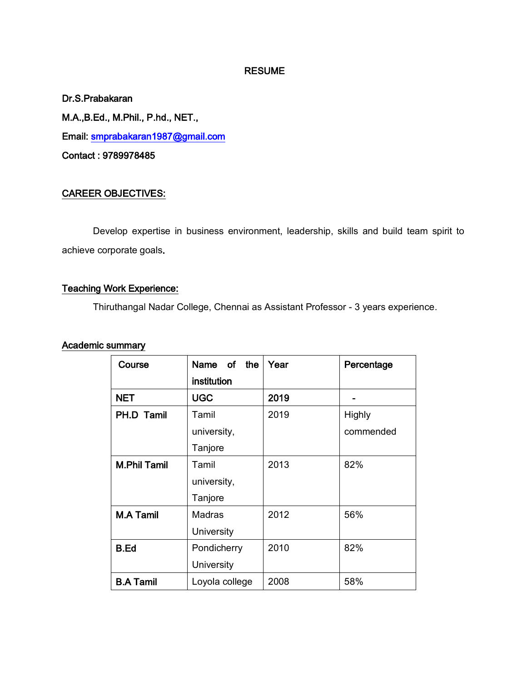#### RESUME

Dr.S.Prabakaran M.A.,B.Ed., M.Phil., P.hd., NET., Email: smprabakaran1987@gmail.com Contact : 9789978485

### CAREER OBJECTIVES:

 Develop expertise in business environment, leadership, skills and build team spirit to achieve corporate goals.

## Teaching Work Experience:

Thiruthangal Nadar College, Chennai as Assistant Professor - 3 years experience.

#### Academic summary

| Course              | Name of the    | Year | Percentage    |
|---------------------|----------------|------|---------------|
|                     | institution    |      |               |
| <b>NET</b>          | <b>UGC</b>     | 2019 |               |
| PH.D Tamil          | Tamil          | 2019 | <b>Highly</b> |
|                     | university,    |      | commended     |
|                     | Tanjore        |      |               |
| <b>M.Phil Tamil</b> | Tamil          | 2013 | 82%           |
|                     | university,    |      |               |
|                     | Tanjore        |      |               |
| <b>M.A Tamil</b>    | <b>Madras</b>  | 2012 | 56%           |
|                     | University     |      |               |
| <b>B.Ed</b>         | Pondicherry    | 2010 | 82%           |
|                     | University     |      |               |
| <b>B.A Tamil</b>    | Loyola college | 2008 | 58%           |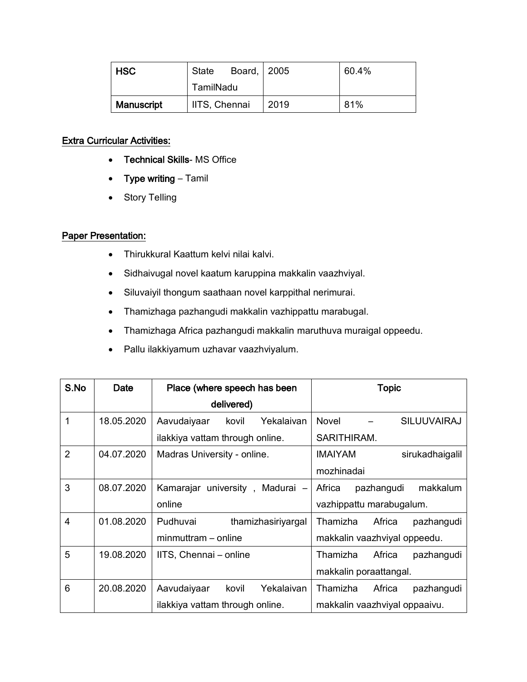| I HSC      | State         | Board, 2005 | 60.4% |
|------------|---------------|-------------|-------|
|            | TamilNadu     |             |       |
| Manuscript | IITS, Chennai | 2019        | 81%   |

## Extra Curricular Activities:

- Technical Skills- MS Office
- Type writing Tamil
- Story Telling

# Paper Presentation:

- Thirukkural Kaattum kelvi nilai kalvi.
- Sidhaivugal novel kaatum karuppina makkalin vaazhviyal.
- Siluvaiyil thongum saathaan novel karppithal nerimurai.
- Thamizhaga pazhangudi makkalin vazhippattu marabugal.
- Thamizhaga Africa pazhangudi makkalin maruthuva muraigal oppeedu.
- Pallu ilakkiyamum uzhavar vaazhviyalum.

| S.No           | Date       | Place (where speech has been       | <b>Topic</b>                      |
|----------------|------------|------------------------------------|-----------------------------------|
|                |            | delivered)                         |                                   |
| 1              | 18.05.2020 | Aavudaiyaar<br>Yekalaivan<br>kovil | <b>SILUUVAIRAJ</b><br>Novel       |
|                |            | ilakkiya vattam through online.    | SARITHIRAM.                       |
| $\overline{2}$ | 04.07.2020 | Madras University - online.        | <b>IMAIYAM</b><br>sirukadhaigalil |
|                |            |                                    | mozhinadai                        |
| 3              | 08.07.2020 | Kamarajar university, Madurai -    | makkalum<br>Africa<br>pazhangudi  |
|                |            | online                             | vazhippattu marabugalum.          |
| $\overline{4}$ | 01.08.2020 | Pudhuvai<br>thamizhasiriyargal     | Africa<br>Thamizha<br>pazhangudi  |
|                |            | minmuttram - online                | makkalin vaazhviyal oppeedu.      |
| 5              | 19.08.2020 | IITS, Chennai - online             | Thamizha<br>Africa<br>pazhangudi  |
|                |            |                                    | makkalin poraattangal.            |
| 6              | 20.08.2020 | Yekalaivan<br>Aavudaiyaar<br>kovil | Africa<br>Thamizha<br>pazhangudi  |
|                |            | ilakkiya vattam through online.    | makkalin vaazhviyal oppaaivu.     |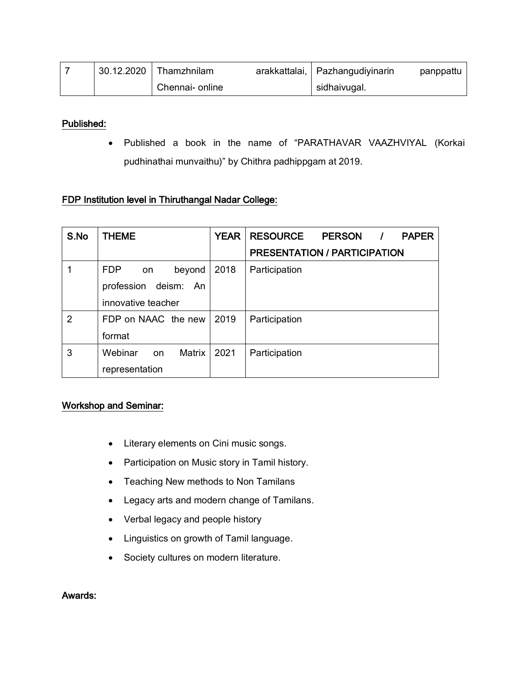| 30.12.2020 | Thamzhnilam     | arakkattalai, Pazhangudiyinarin | panppattu |
|------------|-----------------|---------------------------------|-----------|
|            | Chennai- online | sidhaivugal.                    |           |

#### Published:

• Published a book in the name of "PARATHAVAR VAAZHVIYAL (Korkai pudhinathai munvaithu)" by Chithra padhippgam at 2019.

## FDP Institution level in Thiruthangal Nadar College:

| S.No | <b>THEME</b>               | <b>YEAR</b> | <b>RESOURCE</b><br>PERSON /<br><b>PAPER</b> |
|------|----------------------------|-------------|---------------------------------------------|
|      |                            |             | <b>PRESENTATION / PARTICIPATION</b>         |
|      | <b>FDP</b><br>beyond<br>on | 2018        | Participation                               |
|      | profession deism: An       |             |                                             |
|      | innovative teacher         |             |                                             |
| 2    | FDP on NAAC the new        | 2019        | Participation                               |
|      | format                     |             |                                             |
| 3    | Webinar<br>Matrix<br>on    | 2021        | Participation                               |
|      | representation             |             |                                             |

#### Workshop and Seminar:

- Literary elements on Cini music songs.
- Participation on Music story in Tamil history.
- Teaching New methods to Non Tamilans
- Legacy arts and modern change of Tamilans.
- Verbal legacy and people history
- Linguistics on growth of Tamil language.
- Society cultures on modern literature.

#### Awards: